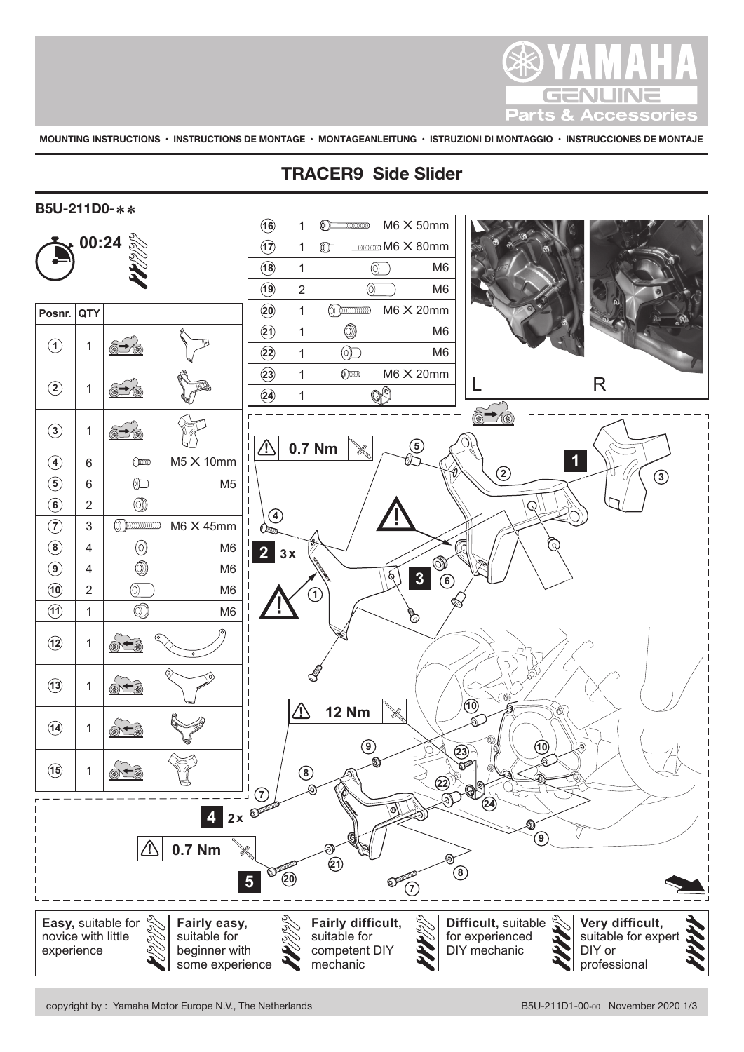

**MOUNTING INSTRUCTIONS • INSTRUCTIONS DE MONTAGE • MONTAGEANLEITUNG • ISTRUZIONI DI MONTAGGIO • INSTRUCCIONES DE MONTAJE**

## **TRACER9 Side Slider**

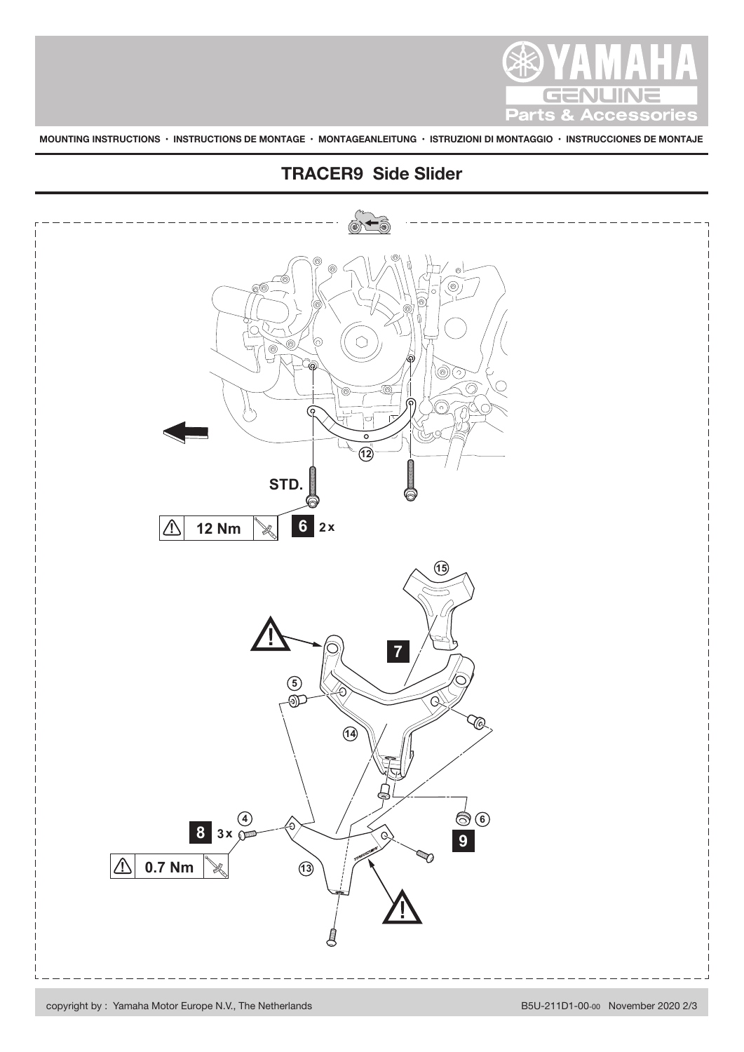

**MOUNTING INSTRUCTIONS • INSTRUCTIONS DE MONTAGE • MONTAGEANLEITUNG • ISTRUZIONI DI MONTAGGIO • INSTRUCCIONES DE MONTAJE**



## **TRACER9 Side Slider**